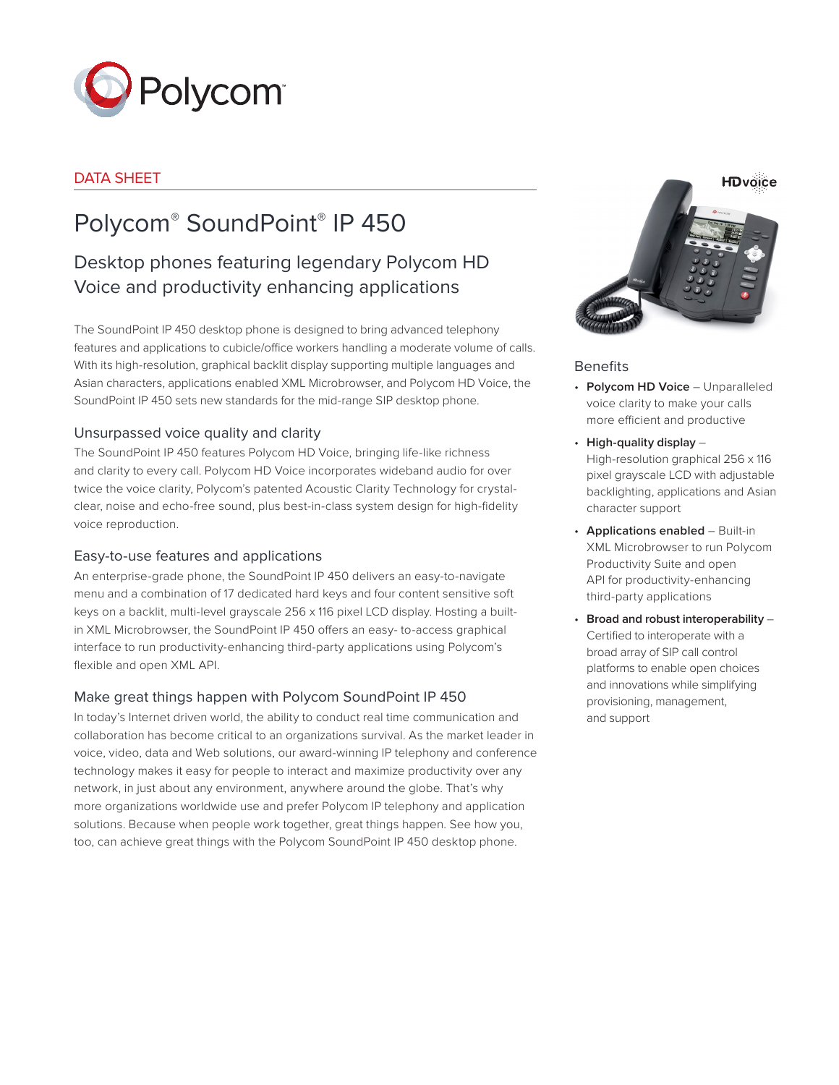

# DATA SHEET

# Polycom® SoundPoint® IP 450

# Desktop phones featuring legendary Polycom HD Voice and productivity enhancing applications

The SoundPoint IP 450 desktop phone is designed to bring advanced telephony features and applications to cubicle/office workers handling a moderate volume of calls. With its high-resolution, graphical backlit display supporting multiple languages and Asian characters, applications enabled XML Microbrowser, and Polycom HD Voice, the SoundPoint IP 450 sets new standards for the mid-range SIP desktop phone.

# Unsurpassed voice quality and clarity

The SoundPoint IP 450 features Polycom HD Voice, bringing life-like richness and clarity to every call. Polycom HD Voice incorporates wideband audio for over twice the voice clarity, Polycom's patented Acoustic Clarity Technology for crystalclear, noise and echo-free sound, plus best-in-class system design for high-fidelity voice reproduction.

# Easy-to-use features and applications

An enterprise-grade phone, the SoundPoint IP 450 delivers an easy-to-navigate menu and a combination of 17 dedicated hard keys and four content sensitive soft keys on a backlit, multi-level grayscale 256 x 116 pixel LCD display. Hosting a builtin XML Microbrowser, the SoundPoint IP 450 offers an easy- to-access graphical interface to run productivity-enhancing third-party applications using Polycom's flexible and open XML API.

# Make great things happen with Polycom SoundPoint IP 450

In today's Internet driven world, the ability to conduct real time communication and collaboration has become critical to an organizations survival. As the market leader in voice, video, data and Web solutions, our award-winning IP telephony and conference technology makes it easy for people to interact and maximize productivity over any network, in just about any environment, anywhere around the globe. That's why more organizations worldwide use and prefer Polycom IP telephony and application solutions. Because when people work together, great things happen. See how you, too, can achieve great things with the Polycom SoundPoint IP 450 desktop phone.



### Benefits

- • **Polycom HD Voice** Unparalleled voice clarity to make your calls more efficient and productive
- • **High-quality display** High-resolution graphical 256 x 116 pixel grayscale LCD with adjustable backlighting, applications and Asian character support
- • **Applications enabled** Built-in XML Microbrowser to run Polycom Productivity Suite and open API for productivity-enhancing third-party applications
- • **Broad and robust interoperability**  Certified to interoperate with a broad array of SIP call control platforms to enable open choices and innovations while simplifying provisioning, management, and support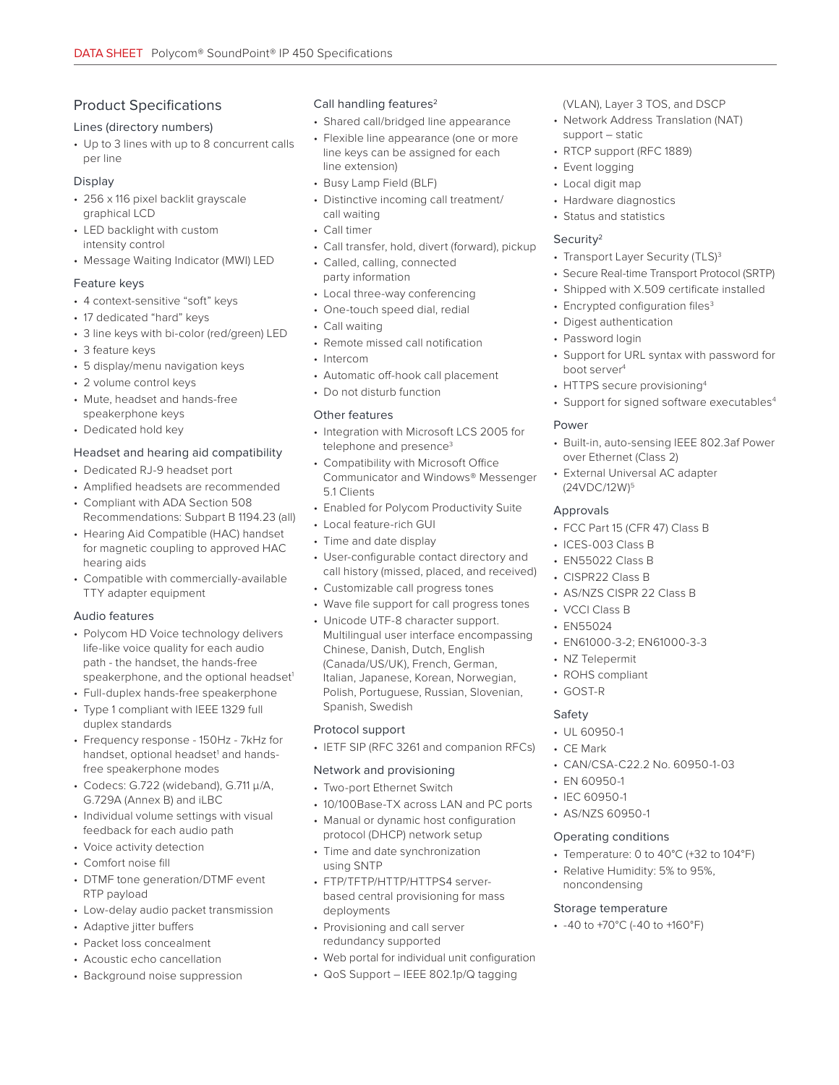# Product Specifications

#### Lines (directory numbers)

• Up to 3 lines with up to 8 concurrent calls per line

#### Display

- 256 x 116 pixel backlit grayscale graphical LCD
- LED backlight with custom intensity control
- Message Waiting Indicator (MWI) LED

#### Feature keys

- 4 context-sensitive "soft" keys
- 17 dedicated "hard" keys
- 3 line keys with bi-color (red/green) LED
- 3 feature keys
- 5 display/menu navigation keys
- 2 volume control keys
- Mute, headset and hands-free speakerphone keys
- Dedicated hold key

#### Headset and hearing aid compatibility

- Dedicated RJ-9 headset port
- Amplified headsets are recommended
- Compliant with ADA Section 508 Recommendations: Subpart B 1194.23 (all)
- Hearing Aid Compatible (HAC) handset for magnetic coupling to approved HAC hearing aids
- Compatible with commercially-available TTY adapter equipment

#### Audio features

- Polycom HD Voice technology delivers life-like voice quality for each audio path - the handset, the hands-free speakerphone, and the optional headset<sup>1</sup>
- Full-duplex hands-free speakerphone
- Type 1 compliant with IEEE 1329 full duplex standards
- Frequency response 150Hz 7kHz for handset, optional headset<sup>1</sup> and handsfree speakerphone modes
- Codecs: G.722 (wideband), G.711 μ/A, G.729A (Annex B) and iLBC
- Individual volume settings with visual feedback for each audio path
- Voice activity detection
- Comfort noise fill
- DTMF tone generation/DTMF event RTP payload
- Low-delay audio packet transmission
- Adaptive jitter buffers
- Packet loss concealment
- Acoustic echo cancellation
- Background noise suppression

#### Call handling features<sup>2</sup>

- Shared call/bridged line appearance
- Flexible line appearance (one or more line keys can be assigned for each line extension)
- Busy Lamp Field (BLF)
- Distinctive incoming call treatment/ call waiting
- Call timer
- Call transfer, hold, divert (forward), pickup
- Called, calling, connected
- party information
- Local three-way conferencing
- One-touch speed dial, redial
- Call waiting
- Remote missed call notification
- Intercom
- Automatic off-hook call placement
- Do not disturb function

#### Other features

- Integration with Microsoft LCS 2005 for telephone and presence<sup>3</sup>
- Compatibility with Microsoft Office Communicator and Windows® Messenger 5.1 Clients
- Enabled for Polycom Productivity Suite
- Local feature-rich GUI
- Time and date display
- User-configurable contact directory and call history (missed, placed, and received)
- Customizable call progress tones
- Wave file support for call progress tones
- Unicode UTF-8 character support. Multilingual user interface encompassing Chinese, Danish, Dutch, English (Canada/US/UK), French, German, Italian, Japanese, Korean, Norwegian, Polish, Portuguese, Russian, Slovenian, Spanish, Swedish

#### Protocol support

• IETF SIP (RFC 3261 and companion RFCs)

#### Network and provisioning

- Two-port Ethernet Switch
- 10/100Base-TX across LAN and PC ports
- Manual or dynamic host configuration protocol (DHCP) network setup
- Time and date synchronization using SNTP
- FTP/TFTP/HTTP/HTTPS4 serverbased central provisioning for mass deployments
- Provisioning and call server redundancy supported
- Web portal for individual unit configuration
- QoS Support IEEE 802.1p/Q tagging

(VLAN), Layer 3 TOS, and DSCP

- Network Address Translation (NAT) support – static
- RTCP support (RFC 1889)
- Event logging
- Local digit map
- Hardware diagnostics
- Status and statistics

#### Security<sup>2</sup>

- Transport Layer Security (TLS)<sup>3</sup>
- Secure Real-time Transport Protocol (SRTP)
- Shipped with X.509 certificate installed
- Encrypted configuration files<sup>3</sup>
- Digest authentication
- Password login
- Support for URL syntax with password for boot server<sup>4</sup>
- HTTPS secure provisioning<sup>4</sup>
- Support for signed software executables<sup>4</sup>

#### Power

- Built-in, auto-sensing IEEE 802.3af Power over Ethernet (Class 2)
- External Universal AC adapter (24VDC/12W)5

#### Approvals

• FCC Part 15 (CFR 47) Class B

• AS/NZS CISPR 22 Class B

• EN61000-3-2; EN61000-3-3

• CAN/CSA-C22.2 No. 60950-1-03

• Temperature: 0 to 40°C (+32 to 104°F) • Relative Humidity: 5% to 95%,

- ICES-003 Class B
- EN55022 Class B
- CISPR22 Class B

• VCCI Class B • EN55024

• NZ Telepermit • ROHS compliant • GOST-R Safety • UL 60950-1 • CE Mark

• EN 60950-1 • IEC 60950-1 • AS/NZS 60950-1 Operating conditions

noncondensing Storage temperature • -40 to +70°C (-40 to +160°F)